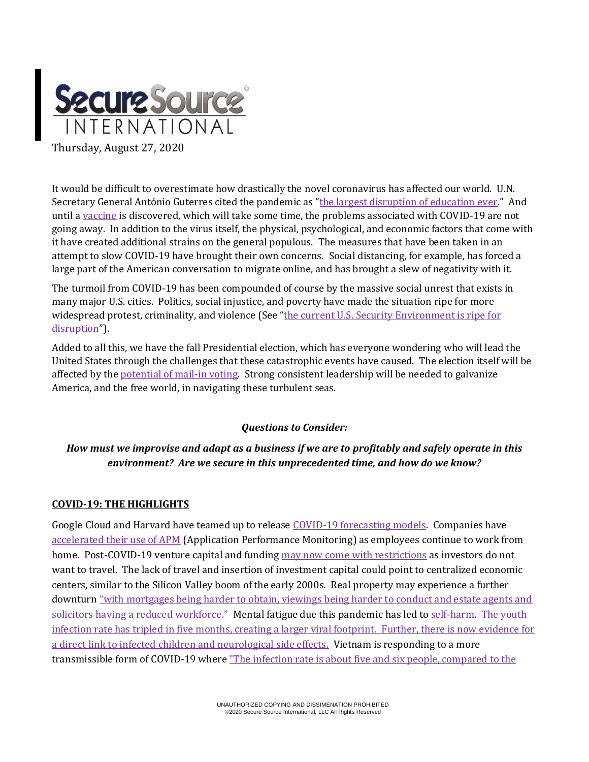

It would be difficult to overestimate how drastically the novel coronavirus has affected our world. U.N. Secretary General António Guterres cited the pandemic as "[the largest disruption of education ever](https://www.msn.com/en-us/news/world/closing-schools-around-the-world-could-cause-a-generational-catastrophe-u-n-secretary-general-warns/ar-BB17ySQp?ocid=hponeservicefeed)." And until a [vaccine](https://www.al.com/news/2020/08/coronavirus-update-covid-19-vaccine-ready-by-end-of-year-early-2021-fauci-says.html) is discovered, which will take some time, the problems associated with COVID-19 are not going away. In addition to the virus itself, the physical, psychological, and economic factors that come with it have created additional strains on the general populous. The measures that have been taken in an attempt to slow COVID-19 have brought their own concerns. Social distancing, for example, has forced a large part of the American conversation to migrate online, and has brought a slew of negativity with it.

The turmoil from COVID-19 has been compounded of course by the massive social unrest that exists in many major U.S. cities. Politics, social injustice, and poverty have made the situation ripe for more widespread protest, criminality, and violence (See "the current U.S. Security Environment is ripe for [disruption](https://thestrategybridge.org/the-bridge/2020/8/3/managing-chaos-biosecurity-in-a-post-covid-19-america)").

Added to all this, we have the fall Presidential election, which has everyone wondering who will lead the United States through the challenges that these catastrophic events have caused. The election itself will be affected by th[e potential of mail-in voting.](https://journalistsresource.org/studies/politics/elections/election-beat-2020-mail-in-voting/?utm_source=feedburner&utm_medium=feed&utm_campaign=Feed%3A+journalistsresource+%28Journalist%27s+Resource%29) Strong consistent leadership will be needed to galvanize America, and the free world, in navigating these turbulent seas.

## *Questions to Consider:*

# *How must we improvise and adapt as a business if we are to profitably and safely operate in this environment? Are we secure in this unprecedented time, and how do we know?*

## **COVID-19: THE HIGHLIGHTS**

Google Cloud and Harvard have teamed up to release COVID-19 [forecasting models.](https://cloud.google.com/blog/products/ai-machine-learning/google-cloud-is-releasing-the-covid-19-public-forecasts) Companies have [accelerated their use of APM](file:///C:/Users/Flora/theNa/AppData/Local/Microsoft/Windows/INetCache/Content.Outlook/5VFWQ1XZ/.%20%20https:/haydenjames.io/20-leading-companies-share-how-covid-19-is-accelerating-the-future-of-apm) (Application Performance Monitoring) as employees continue to work from home. Post-COVID-19 venture capital and fundin[g may now come with restrictions](https://rapidly.co/blog/founders-journey-fundraising-venture-capital-during-covid-19/) as investors do not want to travel. The lack of travel and insertion of investment capital could point to centralized economic centers, similar to the Silicon Valley boom of the early 2000s. Real property may experience a further downturn "[with mortgages being harder to obtain, viewings being harder to conduct and estate agents and](https://propprices.com/blog/the-effect-of-covid-19-on-the-property-industry)  [solicitors having a reduced workforce."](https://propprices.com/blog/the-effect-of-covid-19-on-the-property-industry) Mental fatigue due this pandemic has led to [self-harm.](https://www.scmp.com/news/asia/southeast-asia/article/3096184/coronavirus-singapore-migrant-workers-self-harm-raises) The youth [infection rate has tripled in five months, creating a larger viral footprint.](https://www.reuters.com/article/us-health-coronavirus-youth/proportion-of-youth-with-covid-19-triples-in-five-months-who-idUSKCN2502FS) Further, there is now evidence for a direct link to infected children and [neurological side effects.](https://www.nbcnews.com/health/health-news/covid-19-children-doctors-see-link-between-virus-neurological-side-n1235501) Vietnam is responding to a more transmissible form of COVID-19 wher[e "The infection rate is about five and six people, compared to the](https://asia.nikkei.com/Spotlight/Coronavirus/Vietnam-fights-new-COVID-19-strain-with-higher-infection-rate)